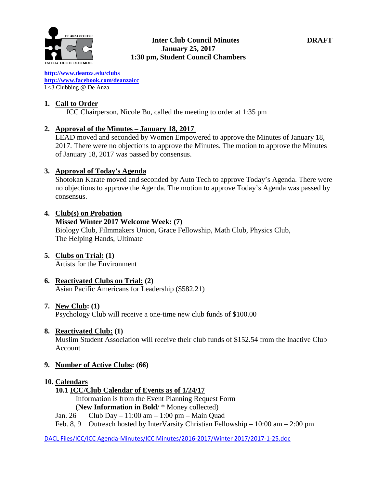

#### **Inter Club Council Minutes DRAFT January 25, 2017 1:30 pm, Student Council Chambers**

**[http://www.deanz](http://www.deanza.edu/clubs)**[a.ed](http://www.deanza.edu/clubs)**[u/clubs](http://www.deanza.edu/clubs) [http://www.facebook.com/deanzaicc](http://www.facebook.com/home.php#!/group.php?gid=59034552686)** I <3 Clubbing @ De Anza

### **1. Call to Order**

ICC Chairperson, Nicole Bu, called the meeting to order at 1:35 pm

#### **2. Approval of the Minutes – January 18, 2017**

LEAD moved and seconded by Women Empowered to approve the Minutes of January 18, 2017. There were no objections to approve the Minutes. The motion to approve the Minutes of January 18, 2017 was passed by consensus.

#### **3. Approval of Today's Agenda**

Shotokan Karate moved and seconded by Auto Tech to approve Today's Agenda. There were no objections to approve the Agenda. The motion to approve Today's Agenda was passed by consensus.

#### **4. Club(s) on Probation**

#### **Missed Winter 2017 Welcome Week: (7)**

Biology Club, Filmmakers Union, Grace Fellowship, Math Club, Physics Club, The Helping Hands, Ultimate

# **5. Clubs on Trial: (1)**

Artists for the Environment

#### **6. Reactivated Clubs on Trial: (2)** Asian Pacific Americans for Leadership (\$582.21)

#### **7. New Club: (1)**

Psychology Club will receive a one-time new club funds of \$100.00

#### **8. Reactivated Club: (1)**

Muslim Student Association will receive their club funds of \$152.54 from the Inactive Club Account

#### **9. Number of Active Clubs: (66)**

#### **10. Calendars**

## **10.1 ICC/Club Calendar of Events as of 1/24/17**

 Information is from the Event Planning Request Form (**New Information in Bold**/ \* Money collected)

Jan. 26 Club Day – 11:00 am – 1:00 pm – Main Quad

Feb. 8, 9 Outreach hosted by InterVarsity Christian Fellowship – 10:00 am – 2:00 pm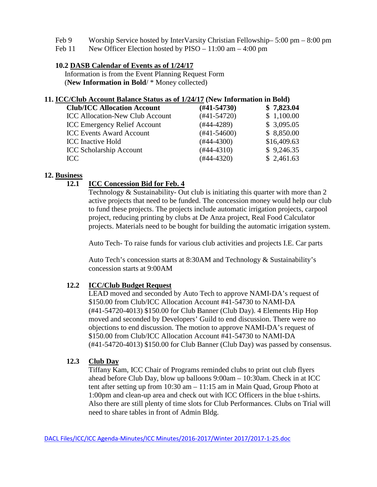- Feb 9 Worship Service hosted by InterVarsity Christian Fellowship– 5:00 pm 8:00 pm
- Feb 11 New Officer Election hosted by PISO 11:00 am 4:00 pm

## **10.2 DASB Calendar of Events as of 1/24/17**

Information is from the Event Planning Request Form (**New Information in Bold**/ \* Money collected)

#### **11. ICC/Club Account Balance Status as of 1/24/17 (New Information in Bold)**

| <b>Club/ICC Allocation Account</b>     | $(\#41 - 54730)$ | \$7,823.04  |
|----------------------------------------|------------------|-------------|
| <b>ICC Allocation-New Club Account</b> | $(#41-54720)$    | \$1,100.00  |
| <b>ICC Emergency Relief Account</b>    | $(#44-4289)$     | \$3,095.05  |
| <b>ICC Events Award Account</b>        | $(#41-54600)$    | \$8,850.00  |
| <b>ICC</b> Inactive Hold               | $(#44-4300)$     | \$16,409.63 |
| <b>ICC Scholarship Account</b>         | $(#44-4310)$     | \$9,246.35  |
| ICC.                                   | $(#44-4320)$     | \$2,461.63  |
|                                        |                  |             |

#### **12. Business**

## **12.1 ICC Concession Bid for Feb. 4**

Technology & Sustainability- Out club is initiating this quarter with more than 2 active projects that need to be funded. The concession money would help our club to fund these projects. The projects include automatic irrigation projects, carpool project, reducing printing by clubs at De Anza project, Real Food Calculator projects. Materials need to be bought for building the automatic irrigation system.

Auto Tech- To raise funds for various club activities and projects I.E. Car parts

Auto Tech's concession starts at 8:30AM and Technology & Sustainability's concession starts at 9:00AM

## **12.2 ICC/Club Budget Request**

LEAD moved and seconded by Auto Tech to approve NAMI-DA's request of \$150.00 from Club/ICC Allocation Account #41-54730 to NAMI-DA (#41-54720-4013) \$150.00 for Club Banner (Club Day). 4 Elements Hip Hop moved and seconded by Developers' Guild to end discussion. There were no objections to end discussion. The motion to approve NAMI-DA's request of \$150.00 from Club/ICC Allocation Account #41-54730 to NAMI-DA (#41-54720-4013) \$150.00 for Club Banner (Club Day) was passed by consensus.

#### **12.3 Club Day**

Tiffany Kam, ICC Chair of Programs reminded clubs to print out club flyers ahead before Club Day, blow up balloons 9:00am – 10:30am. Check in at ICC tent after setting up from 10:30 am – 11:15 am in Main Quad, Group Photo at 1:00pm and clean-up area and check out with ICC Officers in the blue t-shirts. Also there are still plenty of time slots for Club Performances. Clubs on Trial will need to share tables in front of Admin Bldg.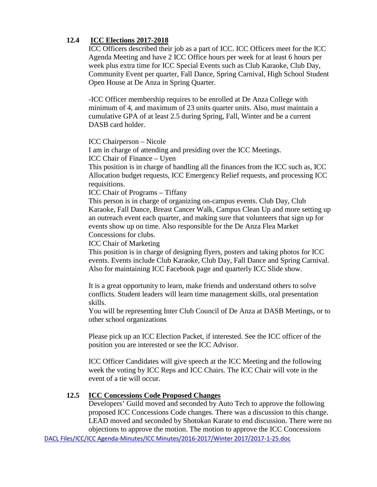## **12.4 ICC Elections 2017-2018**

ICC Officers described their job as a part of ICC. ICC Officers meet for the ICC Agenda Meeting and have 2 ICC Office hours per week for at least 6 hours per week plus extra time for ICC Special Events such as Club Karaoke, Club Day, Community Event per quarter, Fall Dance, Spring Carnival, High School Student Open House at De Anza in Spring Quarter.

-ICC Officer membership requires to be enrolled at De Anza College with minimum of 4, and maximum of 23 units quarter units. Also, must maintain a cumulative GPA of at least 2.5 during Spring, Fall, Winter and be a current DASB card holder.

ICC Chairperson – Nicole

I am in charge of attending and presiding over the ICC Meetings. ICC Chair of Finance – Uyen

This position is in charge of handling all the finances from the ICC such as, ICC Allocation budget requests, ICC Emergency Relief requests, and processing ICC requisitions.

ICC Chair of Programs – Tiffany

This person is in charge of organizing on-campus events. Club Day, Club Karaoke, Fall Dance, Breast Cancer Walk, Campus Clean Up and more setting up an outreach event each quarter, and making sure that volunteers that sign up for events show up on time. Also responsible for the De Anza Flea Market Concessions for clubs.

ICC Chair of Marketing

This position is in charge of designing flyers, posters and taking photos for ICC events. Events include Club Karaoke, Club Day, Fall Dance and Spring Carnival. Also for maintaining ICC Facebook page and quarterly ICC Slide show.

It is a great opportunity to learn, make friends and understand others to solve conflicts. Student leaders will learn time management skills, oral presentation skills.

You will be representing Inter Club Council of De Anza at DASB Meetings, or to other school organizations

Please pick up an ICC Election Packet, if interested. See the ICC officer of the position you are interested or see the ICC Advisor.

ICC Officer Candidates will give speech at the ICC Meeting and the following week the voting by ICC Reps and ICC Chairs. The ICC Chair will vote in the event of a tie will occur.

#### **12.5 ICC Concessions Code Proposed Changes**

Developers' Guild moved and seconded by Auto Tech to approve the following proposed ICC Concessions Code changes. There was a discussion to this change. LEAD moved and seconded by Shotokan Karate to end discussion. There were no objections to approve the motion. The motion to approve the ICC Concessions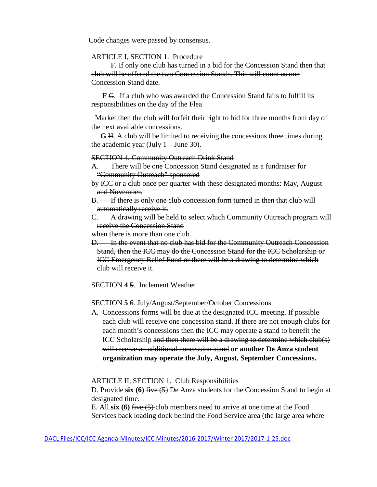Code changes were passed by consensus.

#### ARTICLE I, SECTION 1. Procedure

F. If only one club has turned in a bid for the Concession Stand then that club will be offered the two Concession Stands. This will count as one Concession Stand date.

 **F** G. If a club who was awarded the Concession Stand fails to fulfill its responsibilities on the day of the Flea

 Market then the club will forfeit their right to bid for three months from day of the next available concessions.

 **G** H. A club will be limited to receiving the concessions three times during the academic year (July  $1 -$  June 30).

#### SECTION 4. Community Outreach Drink Stand

A. There will be one Concession Stand designated as a fundraiser for "Community Outreach" sponsored

- by ICC or a club once per quarter with these designated months: May, August and November.
- B. If there is only one club concession form turned in then that club will automatically receive it.

C. A drawing will be held to select which Community Outreach program will receive the Concession Stand

when there is more than one club.

D. In the event that no club has bid for the Community Outreach Concession Stand, then the ICC may do the Concession Stand for the ICC Scholarship or ICC Emergency Relief Fund or there will be a drawing to determine which club will receive it.

SECTION **4** 5. Inclement Weather

SECTION **5** 6. July/August/September/October Concessions

A. Concessions forms will be due at the designated ICC meeting. If possible each club will receive one concession stand. If there are not enough clubs for each month's concessions then the ICC may operate a stand to benefit the ICC Scholarship and then there will be a drawing to determine which club(s) will receive an additional concession stand **or another De Anza student organization may operate the July, August, September Concessions.**

ARTICLE II, SECTION 1. Club Responsibilities

D. Provide **six (6)** five (5) De Anza students for the Concession Stand to begin at designated time.

E. All **six (6)** five (5) club members need to arrive at one time at the Food Services back loading dock behind the Food Service area (the large area where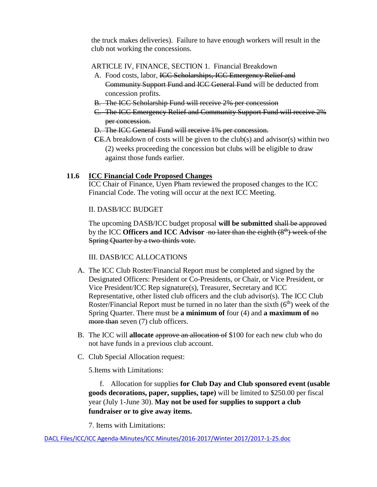the truck makes deliveries). Failure to have enough workers will result in the club not working the concessions.

### ARTICLE IV, FINANCE, SECTION 1. Financial Breakdown

- A. Food costs, labor, ICC Scholarships, ICC Emergency Relief and Community Support Fund and ICC General Fund will be deducted from concession profits.
- B. The ICC Scholarship Fund will receive 2% per concession
- C. The ICC Emergency Relief and Community Support Fund will receive 2% per concession.
- D. The ICC General Fund will receive 1% per concession.
- **C**E.A breakdown of costs will be given to the club(s) and advisor(s) within two (2) weeks proceeding the concession but clubs will be eligible to draw against those funds earlier.

## **11.6 ICC Financial Code Proposed Changes**

ICC Chair of Finance, Uyen Pham reviewed the proposed changes to the ICC Financial Code. The voting will occur at the next ICC Meeting.

#### II. DASB/ICC BUDGET

The upcoming DASB/ICC budget proposal **will be submitted** shall be approved by the ICC **Officers and ICC** Advisor -no later than the eighth  $(8<sup>th</sup>)$  week of the Spring Quarter by a two-thirds vote.

#### III. DASB/ICC ALLOCATIONS

- A. The ICC Club Roster/Financial Report must be completed and signed by the Designated Officers: President or Co-Presidents, or Chair, or Vice President, or Vice President/ICC Rep signature(s), Treasurer, Secretary and ICC Representative, other listed club officers and the club advisor(s). The ICC Club Roster/Financial Report must be turned in no later than the sixth  $(6<sup>th</sup>)$  week of the Spring Quarter. There must be **a minimum of** four (4) and **a maximum of** no more than seven (7) club officers.
- B. The ICC will **allocate** approve an allocation of \$100 for each new club who do not have funds in a previous club account.
- C. Club Special Allocation request:

5.Items with Limitations:

 f. Allocation for supplies **for Club Day and Club sponsored event (usable goods decorations, paper, supplies, tape)** will be limited to \$250.00 per fiscal year (July 1-June 30). **May not be used for supplies to support a club fundraiser or to give away items.**

7. Items with Limitations: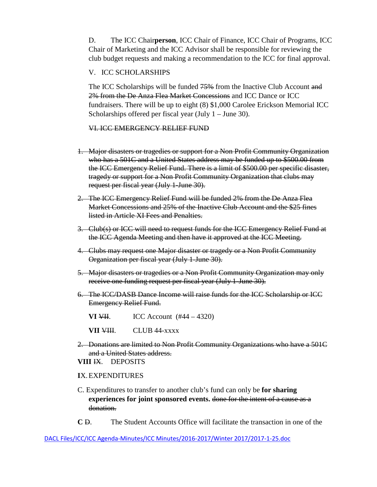D. The ICC Chair**person**, ICC Chair of Finance, ICC Chair of Programs, ICC Chair of Marketing and the ICC Advisor shall be responsible for reviewing the club budget requests and making a recommendation to the ICC for final approval.

#### V. ICC SCHOLARSHIPS

The ICC Scholarships will be funded 75% from the Inactive Club Account and 2% from the De Anza Flea Market Concessions and ICC Dance or ICC fundraisers. There will be up to eight (8) \$1,000 Carolee Erickson Memorial ICC Scholarships offered per fiscal year (July 1 – June 30).

#### VI. ICC EMERGENCY RELIEF FUND

- 1. Major disasters or tragedies or support for a Non Profit Community Organization who has a 501C and a United States address may be funded up to \$500.00 from the ICC Emergency Relief Fund. There is a limit of \$500.00 per specific disaster, tragedy or support for a Non Profit Community Organization that clubs may request per fiscal year (July 1-June 30).
- 2. The ICC Emergency Relief Fund will be funded 2% from the De Anza Flea Market Concessions and 25% of the Inactive Club Account and the \$25 fines listed in Article XI Fees and Penalties.
- 3. Club(s) or ICC will need to request funds for the ICC Emergency Relief Fund at the ICC Agenda Meeting and then have it approved at the ICC Meeting.
- 4. Clubs may request one Major disaster or tragedy or a Non Profit Community Organization per fiscal year (July 1-June 30).
- 5. Major disasters or tragedies or a Non Profit Community Organization may only receive one funding request per fiscal year (July 1-June 30).
- 6. The ICC/DASB Dance Income will raise funds for the ICC Scholarship or ICC Emergency Relief Fund.
	- **VI**  $\overline{V}$ **II.** ICC Account (#44 4320)

**VII <del>VIII</del>.** CLUB 44-xxxx

2. Donations are limited to Non Profit Community Organizations who have a 501C and a United States address.

**VIII** IX. DEPOSITS

#### **I**X.EXPENDITURES

- C. Expenditures to transfer to another club's fund can only be **for sharing experiences for joint sponsored events.** done for the intent of a cause as a donation.
- **C** D. The Student Accounts Office will facilitate the transaction in one of the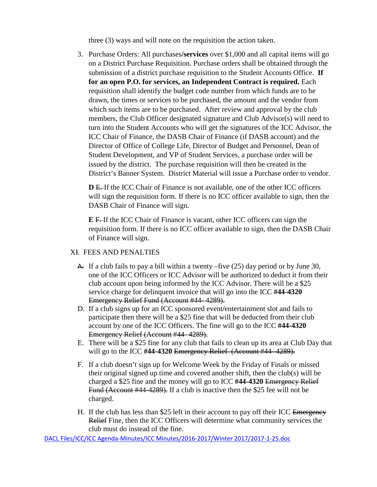three (3) ways and will note on the requisition the action taken.

3. Purchase Orders: All purchases**/services** over \$1,000 and all capital items will go on a District Purchase Requisition. Purchase orders shall be obtained through the submission of a district purchase requisition to the Student Accounts Office. **If for an open P.O. for services, an Independent Contract is required.** Each requisition shall identify the budget code number from which funds are to be drawn, the times or services to be purchased, the amount and the vendor from which such items are to be purchased. After review and approval by the club members, the Club Officer designated signature and Club Advisor(s) will need to turn into the Student Accounts who will get the signatures of the ICC Advisor, the ICC Chair of Finance, the DASB Chair of Finance (if DASB account) and the Director of Office of College Life, Director of Budget and Personnel, Dean of Student Development, and VP of Student Services, a purchase order will be issued by the district. The purchase requisition will then be created in the District's Banner System. District Material will issue a Purchase order to vendor.

**D** E. If the ICC Chair of Finance is not available, one of the other ICC officers will sign the requisition form. If there is no ICC officer available to sign, then the DASB Chair of Finance will sign.

**E** F. If the ICC Chair of Finance is vacant, other ICC officers can sign the requisition form. If there is no ICC officer available to sign, then the DASB Chair of Finance will sign.

#### XI. FEES AND PENALTIES

- A. If a club fails to pay a bill within a twenty –five (25) day period or by June 30, one of the ICC Officers or ICC Advisor will be authorized to deduct it from their club account upon being informed by the ICC Advisor. There will be a \$25 service charge for delinquent invoice that will go into the ICC **#44-4320** Emergency Relief Fund (Account #44- 4289).
- D. If a club signs up for an ICC sponsored event**/**entertainment slot and fails to participate then there will be a \$25 fine that will be deducted from their club account by one of the ICC Officers. The fine will go to the ICC **#44-4320** Emergency Relief (Account #44- 4289).
- E. There will be a \$25 fine for any club that fails to clean up its area at Club Day that will go to the ICC **#44-4320** Emergency Relief (Account #44- 4289).
- F. If a club doesn't sign up for Welcome Week by the Friday of Finals or missed their original signed up time and covered another shift, then the club(s) will be charged a \$25 fine and the money will go to ICC **#44-4320** Emergency Relief Fund (Account #44-4289). If a club is inactive then the \$25 fee will not be charged.
- H. If the club has less than \$25 left in their account to pay off their ICC Emergency Relief Fine, then the ICC Officers will determine what community services the club must do instead of the fine.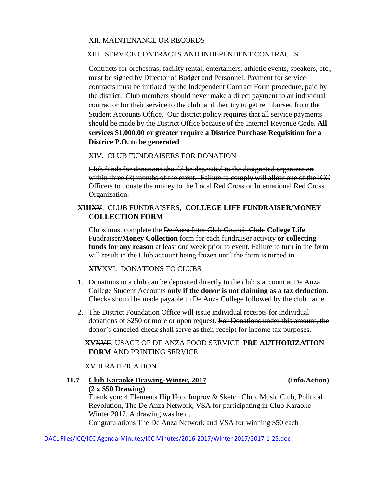#### XII. MAINTENANCE OR RECORDS

#### XIII. SERVICE CONTRACTS AND INDEPENDENT CONTRACTS

Contracts for orchestras, facility rental, entertainers, athletic events, speakers, etc., must be signed by Director of Budget and Personnel. Payment for service contracts must be initiated by the Independent Contract Form procedure, paid by the district. Club members should never make a direct payment to an individual contractor for their service to the club, and then try to get reimbursed from the Student Accounts Office. Our district policy requires that all service payments should be made by the District Office because of the Internal Revenue Code. **All services \$1,000.00 or greater require a Districe Purchase Requisition for a Districe P.O. to be generated**

XIV. CLUB FUNDRAISERS FOR DONATION

 Club funds for donations should be deposited to the designated organization within three (3) months of the event. Failure to comply will allow one of the ICC Officers to donate the money to the Local Red Cross or International Red Cross Organization.

#### **XIII**XV. CLUB FUNDRAISERS**, COLLEGE LIFE FUNDRAISER/MONEY COLLECTION FORM**

Clubs must complete the De Anza Inter Club Council Club **College Life**  Fundraiser**/Money Collection** form for each fundraiser activity **or collecting funds for any reason** at least one week prior to event. Failure to turn in the form will result in the Club account being frozen until the form is turned in.

#### **XIV**XVI. DONATIONS TO CLUBS

- 1. Donations to a club can be deposited directly to the club's account at De Anza College Student Accounts **only if the donor is not claiming as a tax deduction.** Checks should be made payable to De Anza College followed by the club name.
- 2. The District Foundation Office will issue individual receipts for individual donations of \$250 or more or upon request. For Donations under this amount, the donor's canceled check shall serve as their receipt for income tax purposes.

#### **XV**XVII. USAGE OF DE ANZA FOOD SERVICE **PRE AUTHORIZATION FORM** AND PRINTING SERVICE

#### XVIII.RATIFICATION

# **11.7 Club Karaoke Drawing-Winter, 2017 (Info/Action) (2 x \$50 Drawing)**

Thank you: 4 Elements Hip Hop, Improv & Sketch Club, Music Club, Political Revolution, The De Anza Network, VSA for participating in Club Karaoke Winter 2017. A drawing was held. Congratulations The De Anza Network and VSA for winning \$50 each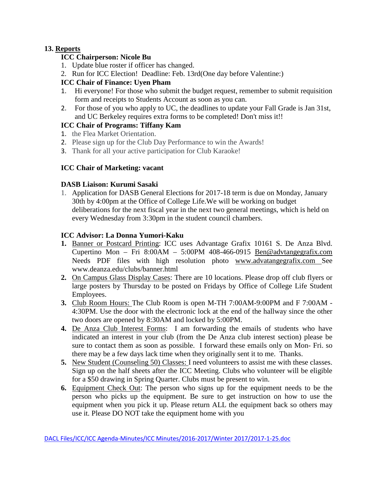# **13. Reports**

# **ICC Chairperson: Nicole Bu**

- 1. Update blue roster if officer has changed.
- 2. Run for ICC Election! Deadline: Feb. 13rd(One day before Valentine:)

# **ICC Chair of Finance: Uyen Pham**

- 1. Hi everyone! For those who submit the budget request, remember to submit requisition form and receipts to Students Account as soon as you can.
- 2. For those of you who apply to UC, the deadlines to update your Fall Grade is Jan 31st, and UC Berkeley requires extra forms to be completed! Don't miss it!!

# **ICC Chair of Programs: Tiffany Kam**

- 1. the Flea Market Orientation.
- 2. Please sign up for the Club Day Performance to win the Awards!
- 3. Thank for all your active participation for Club Karaoke!

## **ICC Chair of Marketing: vacant**

## **DASB Liaison: Kurumi Sasaki**

1. Application for DASB General Elections for 2017-18 term is due on Monday, January 30th by 4:00pm at the Office of College Life.We will be working on budget deliberations for the next fiscal year in the next two general meetings, which is held on every Wednesday from 3:30pm in the student council chambers.

## **ICC Advisor: La Donna Yumori-Kaku**

- **1.** Banner or Postcard Printing: ICC uses Advantage Grafix 10161 S. De Anza Blvd. Cupertino Mon – Fri 8:00AM – 5:00PM 408-466-0915 [Ben@advtangegrafix.com](mailto:Ben@advtangegrafix.com) Needs PDF files with high resolution photo [www.advatangegrafix.com](http://www.advatangegrafix.com/) See www.deanza.edu/clubs/banner.html
- **2.** On Campus Glass Display Cases: There are 10 locations. Please drop off club flyers or large posters by Thursday to be posted on Fridays by Office of College Life Student Employees.
- **3.** Club Room Hours: The Club Room is open M-TH 7:00AM-9:00PM and F 7:00AM 4:30PM. Use the door with the electronic lock at the end of the hallway since the other two doors are opened by 8:30AM and locked by 5:00PM.
- **4.** De Anza Club Interest Forms: I am forwarding the emails of students who have indicated an interest in your club (from the De Anza club interest section) please be sure to contact them as soon as possible. I forward these emails only on Mon- Fri. so there may be a few days lack time when they originally sent it to me. Thanks.
- **5.** New Student (Counseling 50) Classes: I need volunteers to assist me with these classes. Sign up on the half sheets after the ICC Meeting. Clubs who volunteer will be eligible for a \$50 drawing in Spring Quarter. Clubs must be present to win.
- **6.** Equipment Check Out: The person who signs up for the equipment needs to be the person who picks up the equipment. Be sure to get instruction on how to use the equipment when you pick it up. Please return ALL the equipment back so others may use it. Please DO NOT take the equipment home with you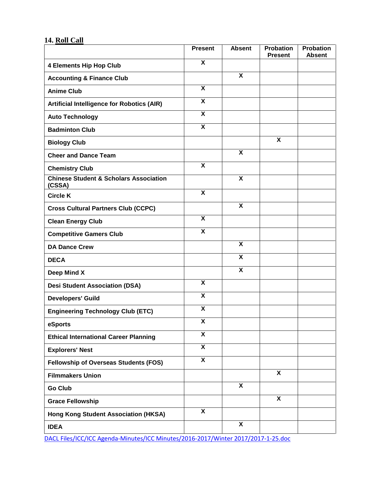# **14. Roll Call**

|                                                             | <b>Present</b>            | <b>Absent</b>             | <b>Probation</b><br><b>Present</b> | <b>Probation</b><br><b>Absent</b> |
|-------------------------------------------------------------|---------------------------|---------------------------|------------------------------------|-----------------------------------|
| <b>4 Elements Hip Hop Club</b>                              | $\overline{\mathbf{x}}$   |                           |                                    |                                   |
| <b>Accounting &amp; Finance Club</b>                        |                           | $\boldsymbol{\mathsf{X}}$ |                                    |                                   |
| <b>Anime Club</b>                                           | $\overline{\mathbf{x}}$   |                           |                                    |                                   |
| <b>Artificial Intelligence for Robotics (AIR)</b>           | X                         |                           |                                    |                                   |
| <b>Auto Technology</b>                                      | $\overline{\mathbf{x}}$   |                           |                                    |                                   |
| <b>Badminton Club</b>                                       | $\boldsymbol{\mathsf{x}}$ |                           |                                    |                                   |
| <b>Biology Club</b>                                         |                           |                           | X                                  |                                   |
| <b>Cheer and Dance Team</b>                                 |                           | X                         |                                    |                                   |
| <b>Chemistry Club</b>                                       | $\overline{\mathbf{x}}$   |                           |                                    |                                   |
| <b>Chinese Student &amp; Scholars Association</b><br>(CSSA) |                           | X                         |                                    |                                   |
| <b>Circle K</b>                                             | $\overline{\mathbf{x}}$   |                           |                                    |                                   |
| <b>Cross Cultural Partners Club (CCPC)</b>                  |                           | X                         |                                    |                                   |
| <b>Clean Energy Club</b>                                    | $\overline{\mathbf{x}}$   |                           |                                    |                                   |
| <b>Competitive Gamers Club</b>                              | $\overline{\mathbf{x}}$   |                           |                                    |                                   |
| <b>DA Dance Crew</b>                                        |                           | $\overline{\mathbf{x}}$   |                                    |                                   |
| <b>DECA</b>                                                 |                           | $\overline{\mathbf{x}}$   |                                    |                                   |
| Deep Mind X                                                 |                           | $\overline{\mathbf{x}}$   |                                    |                                   |
| <b>Desi Student Association (DSA)</b>                       | X                         |                           |                                    |                                   |
| <b>Developers' Guild</b>                                    | $\boldsymbol{\mathsf{x}}$ |                           |                                    |                                   |
| <b>Engineering Technology Club (ETC)</b>                    | $\boldsymbol{\mathsf{X}}$ |                           |                                    |                                   |
| eSports                                                     | $\overline{\mathbf{x}}$   |                           |                                    |                                   |
| <b>Ethical International Career Planning</b>                | X                         |                           |                                    |                                   |
| <b>Explorers' Nest</b>                                      | $\overline{\mathbf{x}}$   |                           |                                    |                                   |
| <b>Fellowship of Overseas Students (FOS)</b>                | $\overline{\mathbf{X}}$   |                           |                                    |                                   |
| <b>Filmmakers Union</b>                                     |                           |                           | $\overline{\mathbf{X}}$            |                                   |
| <b>Go Club</b>                                              |                           | X                         |                                    |                                   |
| <b>Grace Fellowship</b>                                     |                           |                           | X                                  |                                   |
| Hong Kong Student Association (HKSA)                        | X                         |                           |                                    |                                   |
| <b>IDEA</b>                                                 |                           | $\overline{\mathbf{x}}$   |                                    |                                   |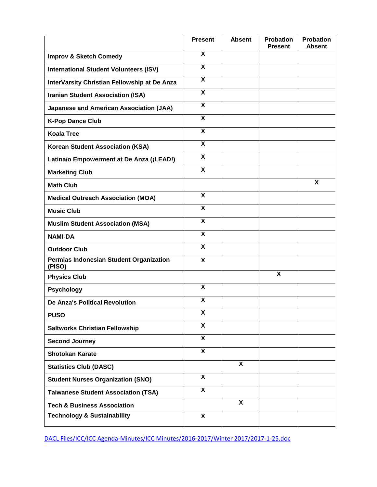|                                                   | <b>Present</b>            | <b>Absent</b> | <b>Probation</b><br><b>Present</b> | <b>Probation</b><br><b>Absent</b> |
|---------------------------------------------------|---------------------------|---------------|------------------------------------|-----------------------------------|
| <b>Improv &amp; Sketch Comedy</b>                 | X                         |               |                                    |                                   |
| <b>International Student Volunteers (ISV)</b>     | $\overline{\mathbf{x}}$   |               |                                    |                                   |
| InterVarsity Christian Fellowship at De Anza      | $\boldsymbol{\mathsf{X}}$ |               |                                    |                                   |
| <b>Iranian Student Association (ISA)</b>          | $\boldsymbol{\mathsf{X}}$ |               |                                    |                                   |
| <b>Japanese and American Association (JAA)</b>    | $\boldsymbol{\mathsf{X}}$ |               |                                    |                                   |
| <b>K-Pop Dance Club</b>                           | $\overline{\mathbf{x}}$   |               |                                    |                                   |
| <b>Koala Tree</b>                                 | $\boldsymbol{\mathsf{X}}$ |               |                                    |                                   |
| <b>Korean Student Association (KSA)</b>           | X                         |               |                                    |                                   |
| Latina/o Empowerment at De Anza (¡LEAD!)          | $\boldsymbol{\mathsf{X}}$ |               |                                    |                                   |
| <b>Marketing Club</b>                             | X                         |               |                                    |                                   |
| <b>Math Club</b>                                  |                           |               |                                    | X                                 |
| <b>Medical Outreach Association (MOA)</b>         | $\boldsymbol{\mathsf{X}}$ |               |                                    |                                   |
| <b>Music Club</b>                                 | $\overline{\mathbf{x}}$   |               |                                    |                                   |
| <b>Muslim Student Association (MSA)</b>           | $\boldsymbol{\mathsf{X}}$ |               |                                    |                                   |
| <b>NAMI-DA</b>                                    | $\boldsymbol{\mathsf{X}}$ |               |                                    |                                   |
| <b>Outdoor Club</b>                               | X                         |               |                                    |                                   |
| Permias Indonesian Student Organization<br>(PISO) | X                         |               |                                    |                                   |
| <b>Physics Club</b>                               |                           |               | X                                  |                                   |
| <b>Psychology</b>                                 | X                         |               |                                    |                                   |
| <b>De Anza's Political Revolution</b>             | $\pmb{\mathsf{X}}$        |               |                                    |                                   |
| <b>PUSO</b>                                       | X                         |               |                                    |                                   |
| <b>Saltworks Christian Fellowship</b>             | $\overline{\mathbf{x}}$   |               |                                    |                                   |
| <b>Second Journey</b>                             | $\overline{\mathbf{X}}$   |               |                                    |                                   |
| <b>Shotokan Karate</b>                            | $\overline{\mathbf{x}}$   |               |                                    |                                   |
| <b>Statistics Club (DASC)</b>                     |                           | X             |                                    |                                   |
| <b>Student Nurses Organization (SNO)</b>          | $\overline{\mathbf{x}}$   |               |                                    |                                   |
| <b>Taiwanese Student Association (TSA)</b>        | $\overline{\mathbf{X}}$   |               |                                    |                                   |
| <b>Tech &amp; Business Association</b>            |                           | X             |                                    |                                   |
| <b>Technology &amp; Sustainability</b>            | X                         |               |                                    |                                   |